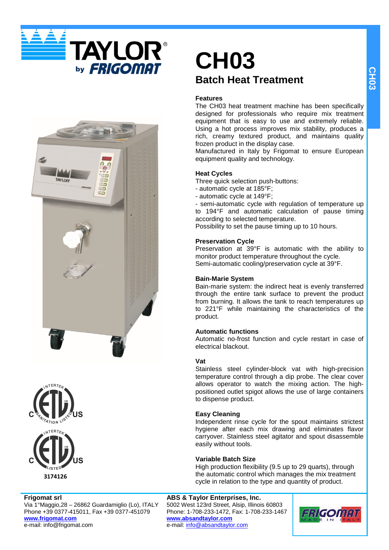





#### **Frigomat srl**

Via 1°Maggio,28 – 26862 Guardamiglio (Lo), ITALY Phone +39 0377-415011, Fax +39 0377-451079 **www.frigomat.com** e-mail: info@frigomat.com

# **CH03 Batch Heat Treatment**

#### **Features**

The CH03 heat treatment machine has been specifically designed for professionals who require mix treatment equipment that is easy to use and extremely reliable. Using a hot process improves mix stability, produces a rich, creamy textured product, and maintains quality frozen product in the display case.

Manufactured in Italy by Frigomat to ensure European equipment quality and technology.

# **Heat Cycles**

- Three quick selection push-buttons:
- automatic cycle at 185°F;
- automatic cycle at 149°F;

- semi-automatic cycle with regulation of temperature up to 194°F and automatic calculation of pause timing according to selected temperature.

Possibility to set the pause timing up to 10 hours.

# **Preservation Cycle**

Preservation at 39°F is automatic with the ability to monitor product temperature throughout the cycle. Semi-automatic cooling/preservation cycle at 39°F.

#### **Bain-Marie System**

Bain-marie system: the indirect heat is evenly transferred through the entire tank surface to prevent the product from burning. It allows the tank to reach temperatures up to 221°F while maintaining the characteristics of the product.

# **Automatic functions**

Automatic no-frost function and cycle restart in case of electrical blackout.

#### **Vat**

Stainless steel cylinder-block vat with high-precision temperature control through a dip probe. The clear cover allows operator to watch the mixing action. The highpositioned outlet spigot allows the use of large containers to dispense product.

# **Easy Cleaning**

Independent rinse cycle for the spout maintains strictest hygiene after each mix drawing and eliminates flavor carryover. Stainless steel agitator and spout disassemble easily without tools.

#### **Variable Batch Size**

High production flexibility (9.5 up to 29 quarts), through the automatic control which manages the mix treatment cycle in relation to the type and quantity of product.

# **ABS & Taylor Enterprises, Inc.**

5002 West 123rd Street, Alsip, Illinois 60803 Phone: 1-708-233-1472, Fax: 1-708-233-1467 **www.absandtaylor.com** e-mail: info@absandtaylor.com